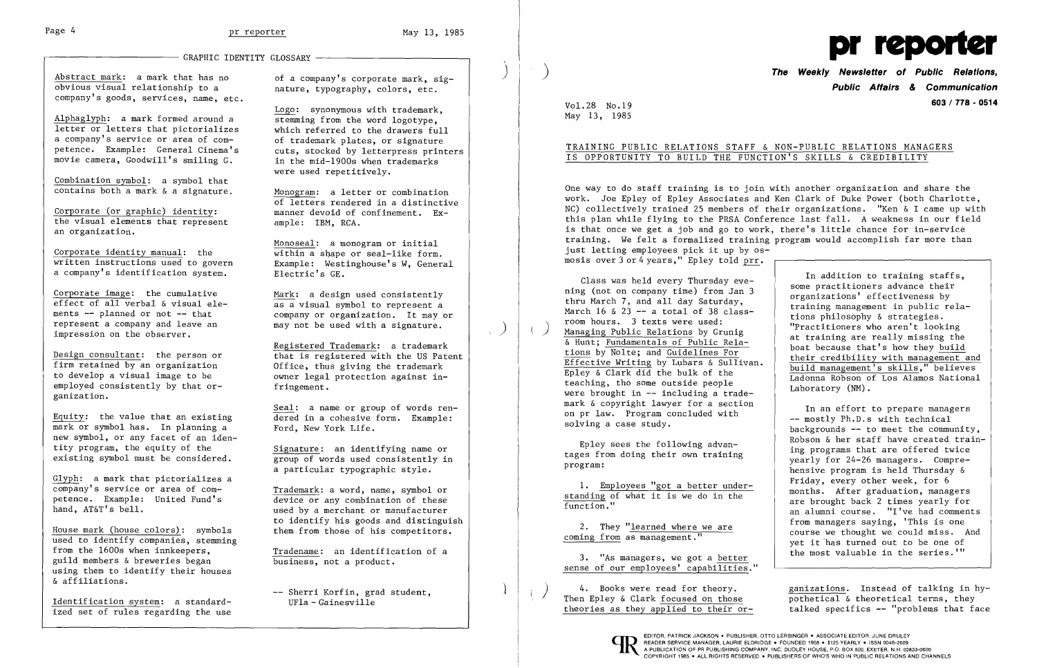l.

Abstract mark: a mark that has no obvious visual relationship to a company's goods, services, name, etc.

Alphaglyph: a mark formed around a letter or letters that pictorializes a company's service or area of competence. Example: General Cinema's movie camera, Goodwill's smiling G.

Combination symbol: a symbol that contains both a mark & a signature.

Design consultant: the person or firm retained by an organization to develop a visual image to be employed consistently by that organization.

Corporate (or graphic) identity: the visual elements that represent an organization.

Corporate identity manual: the written instructions used to govern a company's identification system.

Corporate image: the cumulative effect of all verbal & visual elements -- planned or not -- that represent a company and leave an impression on the observer.

Equity: the value that an existing mark or symbol has. In planning a new symbol, or any facet of an identity program, the equity of the existing symbol must be considered.

Glyph: a mark that pictorializes a company's service or area of competence. Example: United Fund's hand, AT&T's bell.

House mark (house colors): symbols used to identify companies, stemming from the 1600s when innkeepers, guild members & breweries began using them to identify their houses & affiliations.

> -- Sherri Korfin, grad student, UFla - Gainesville

ر<br>ر ,

 $\sum_{i=1}^n$ 

 $\left( \right)$ 

## GRAPHIC IDENTITY GLOSSARY -

Identification system: a standardized set of rules regarding the use **The Weekly Newsletter of Public Relations Public Affairs & Communication 603/778 - <sup>0514</sup>**

of a company's corporate mark, signature, typography, colors, etc.

> One way to do staff training is to join with another organization and share the work. Joe Epley of Epley Associates and Ken Clark of Duke Power (both Charlotte, NC) collectively trained 25 members of their organizations. "Ken & I came up with this plan while flying to the PRSA Conference last fall. A weakness in our field is that once we get a job and go to work, there's little chance for in-service training. We felt a formalized training program would accomplish far more than just letting employees pick it up by osmosis over  $3$  or  $4$  years," Epley told prr.

Logo: synonymous with trademark, stemming from the word logotype, which referred to the drawers full of trademark plates, or signature cuts, stocked by letterpress printers in the mid-1900s when trademarks were used repetitively.

Monogram: a letter or combination of letters rendered in a distinctive manner devoid of confinement. Example: IBM, RCA.

Monoseal: a monogram or initial  $\overline{\text{within a}}$  shape or seal-like form. Example: Westinghouse's W, General Electric's GE.

Mark: a design used consistently as a visual symbol to represent a company or organization. It mayor may not be used with a signature.

> 3. "As managers, we got a better sense of our employees' capabilities."

Registered Trademark: a trademark that is registered with the US Patent Office, thus giving the trademark owner legal protection against infringement.

> $\langle \rangle$  4. Books were read for theory.<br>Then Epley & Clark focused on those theories as they applied to their or-

Seal: a name or group of words rendered in a cohesive form. Example: Ford, New York Life.

Signature: an identifying name or group of words used consistently in a particular typographic style.

Trademark: a word, name, symbol or device or any combination of these used by a merchant or manufacturer to identify his goods and distinguish them from those of his competitors.

Tradename: an identification of a business, not a product.



Vo1.28 No.19 May 13, 1985

## TRAINING PUBLIC RELATIONS STAFF & NON-PUBLIC RELATIONS MANAGERS IS OPPORTUNITY TO BUILD THE FUNCTION'S SKILLS & CREDIBILITY

Class was held every Thursday evening (not on company time) from Jan 3 thru March 7, and all day Saturday, March 16 & 23 -- a total of 38 class-<br>room hours. 3 texts were used: Managing Public Relations by Grunig & Hunt; Fundamentals of Public Relations by Nolte; and Guidelines For Effective Writing by Lubars & Sullivan. Epley & Clark did the bulk of the teaching, tho some outside people were brought in  $-$  including a trademark & copyright lawyer for a section on pr law. Program concluded with solving a case study.

Epley sees the following advantages from doing their own training program:

1. Employees "got a better understanding of what it is we do in the function."

2. They "learned where we are coming from as management."

In addition to training staffs, some practitioners advance their organizations' effectiveness by training management in public relations philosophy & strategies. "Practitioners who aren't looking at training are really missing the boat because that's how they build their credibility with management and build management's skills," believes Ladonna Robson of Los Alamos National Laboratory (NM).

In an effort to prepare managers -- mostly Ph.D.s with technical backgrounds -- to meet the community, Robson & her staff have created training programs that are offered twice yearly for 24-26 managers. Comprehensive program is held Thursday & Friday, every other week, for 6 months. After graduation, managers are brought back 2 times yearly for an alumni course. "I've had comments from managers saying, 'This is one course we thought we could miss. And yet it 'has turned out to be one of the most valuable in the series.'"

ganizations. Instead of talking in hypothetical & theoretical terms, they talked specifics -- "problems that face